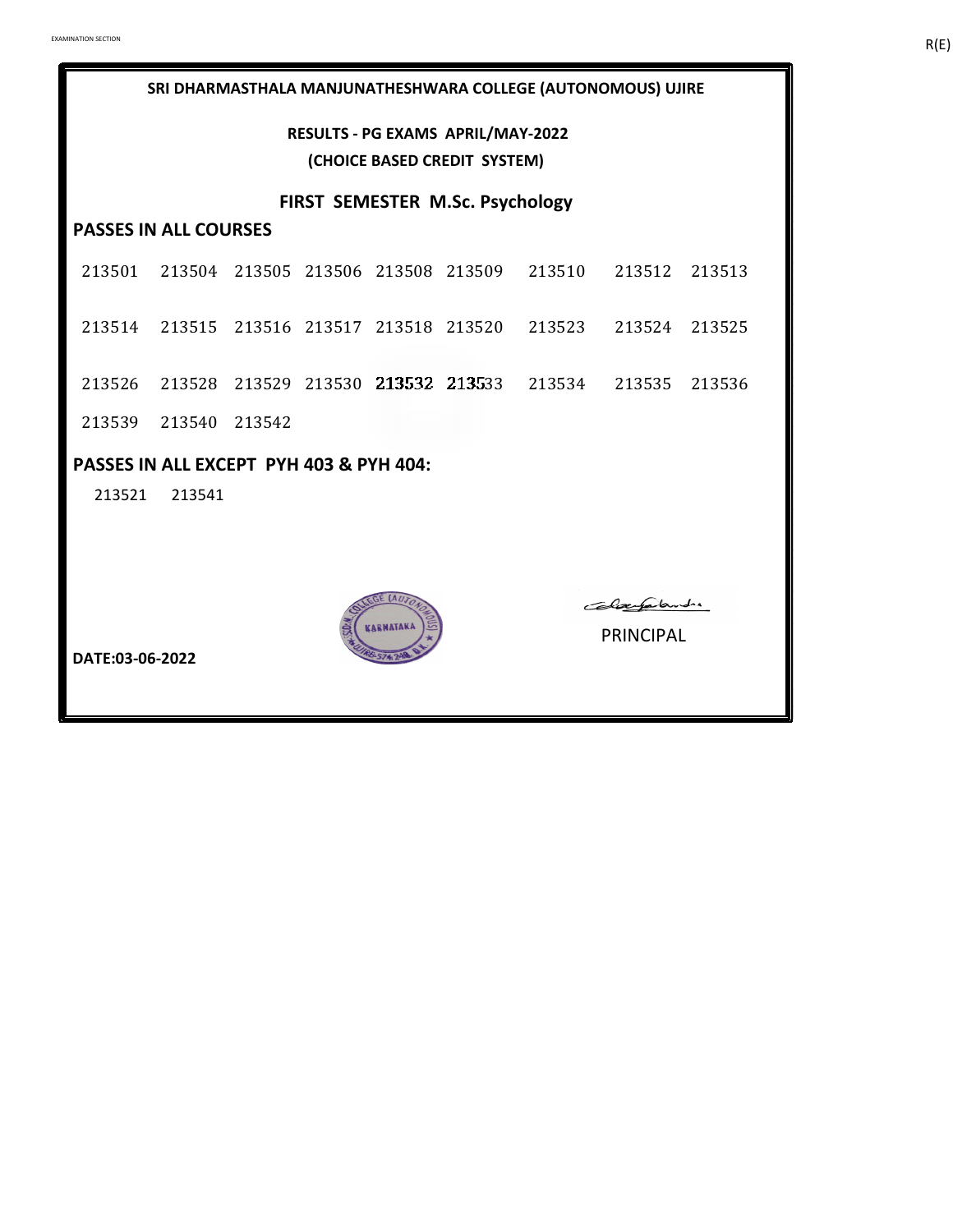**RESULTS - PG EXAMS APRIL/MAY-2022 (CHOICE BASED CREDIT SYSTEM)**

**FIRST SEMESTER M.Sc. Psychology**

# **PASSES IN ALL COURSES**

- 213501 213504 213505 213506 213508 213509 213510 213512 213513
- 213514 213515 213516 213517 213518 213520 213523 213524 213525
- 213526 213528 213529 213530 213532 213533 213534 213535 213536
- 213539 213540 213542

#### **PASSES IN ALL EXCEPT PYH 403 & PYH 404:**

213521 213541



Colaerpalandre

**DATE:03-06-2022**

PRINCIPAL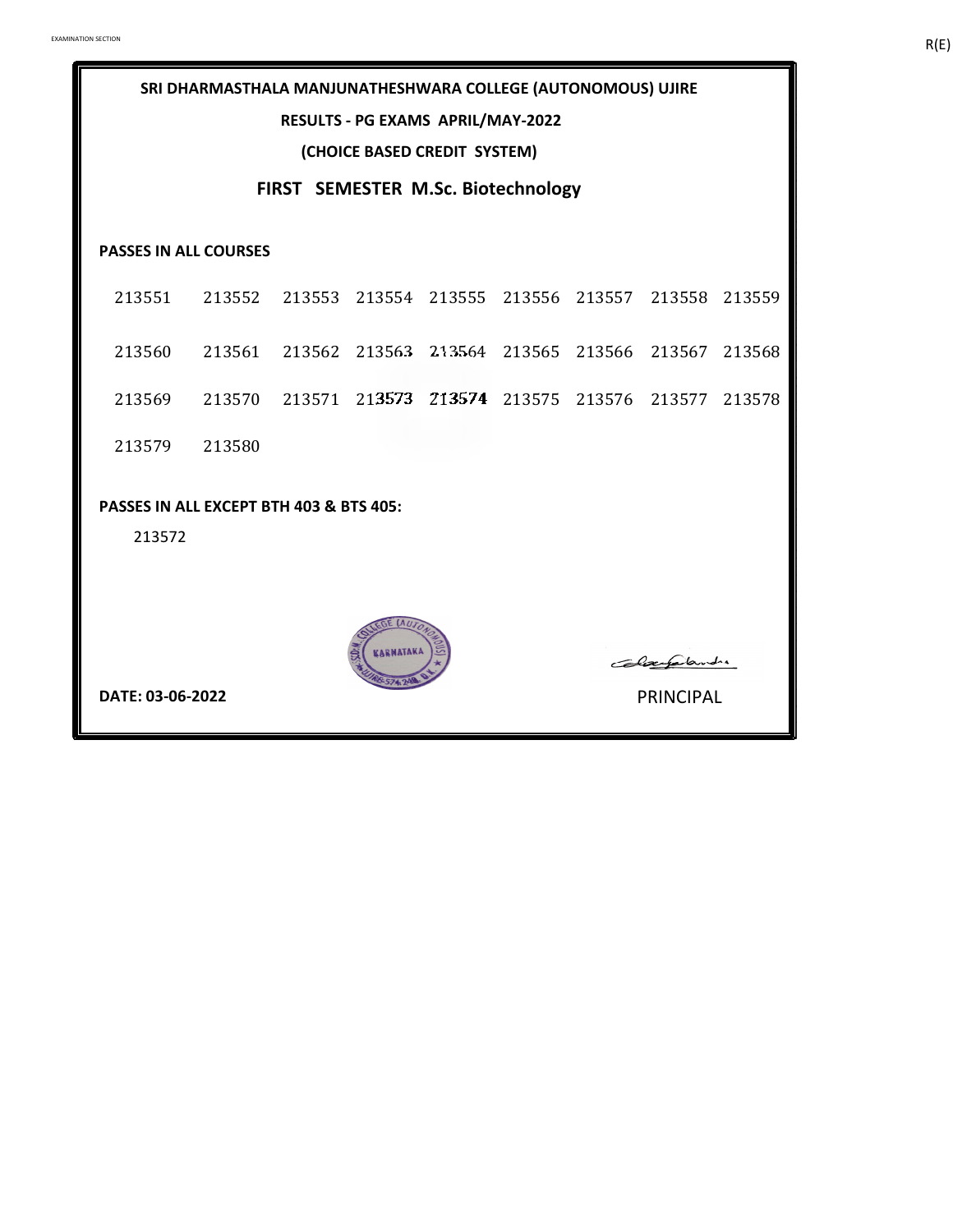#### **RESULTS - PG EXAMS APRIL/MAY-2022**

**(CHOICE BASED CREDIT SYSTEM)**

# **FIRST SEMESTER M.Sc. Biotechnology**

#### **PASSES IN ALL COURSES**

| 213551 213552 213553 213554 213555 213556 213557 213558 213559 |        |  |  |  |  |
|----------------------------------------------------------------|--------|--|--|--|--|
| 213560 213561 213562 213563 213564 213565 213566 213567 213568 |        |  |  |  |  |
| 213569 213570 213571 213573 213574 213575 213576 213577 213578 |        |  |  |  |  |
| 213579                                                         | 213580 |  |  |  |  |

#### **PASSES IN ALL EXCEPT BTH 403 & BTS 405:**

213572



**DATE: 03-06-2022** PRINCIPAL

Colaegalandre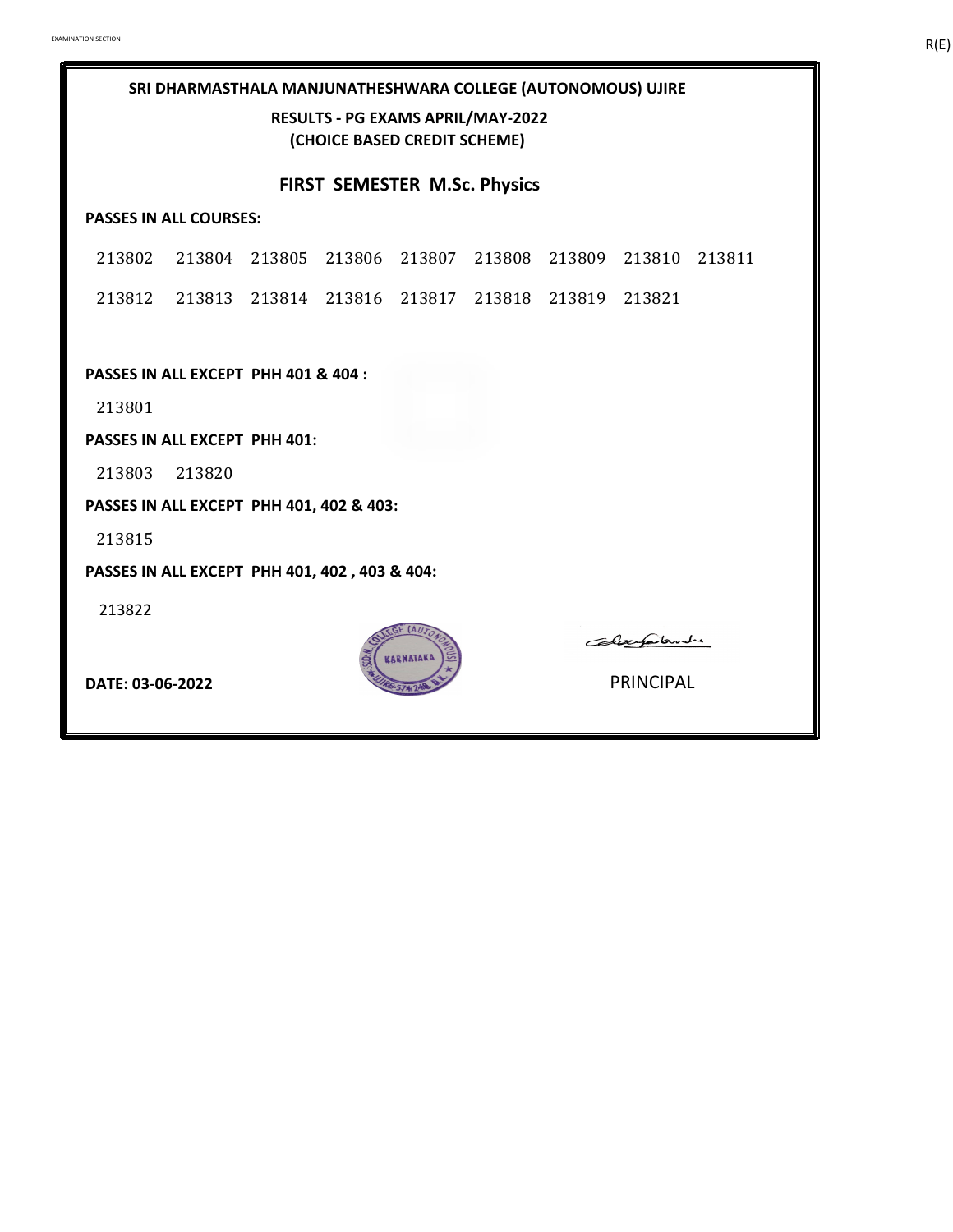**RESULTS - PG EXAMS APRIL/MAY-2022 (CHOICE BASED CREDIT SCHEME)**

#### **FIRST SEMESTER M.Sc. Physics**

#### **PASSES IN ALL COURSES:**

213802 213804 213805 213806 213807 213808 213809 213810 213811 213812 213813 213814 213816 213817 213818 213819 213821

**PASSES IN ALL EXCEPT PHH 401 & 404 :**

213801

**PASSES IN ALL EXCEPT PHH 401:**

213803 213820

**PASSES IN ALL EXCEPT PHH 401, 402 & 403:**

213815

**PASSES IN ALL EXCEPT PHH 401, 402 , 403 & 404:**

213822



Colaugalandre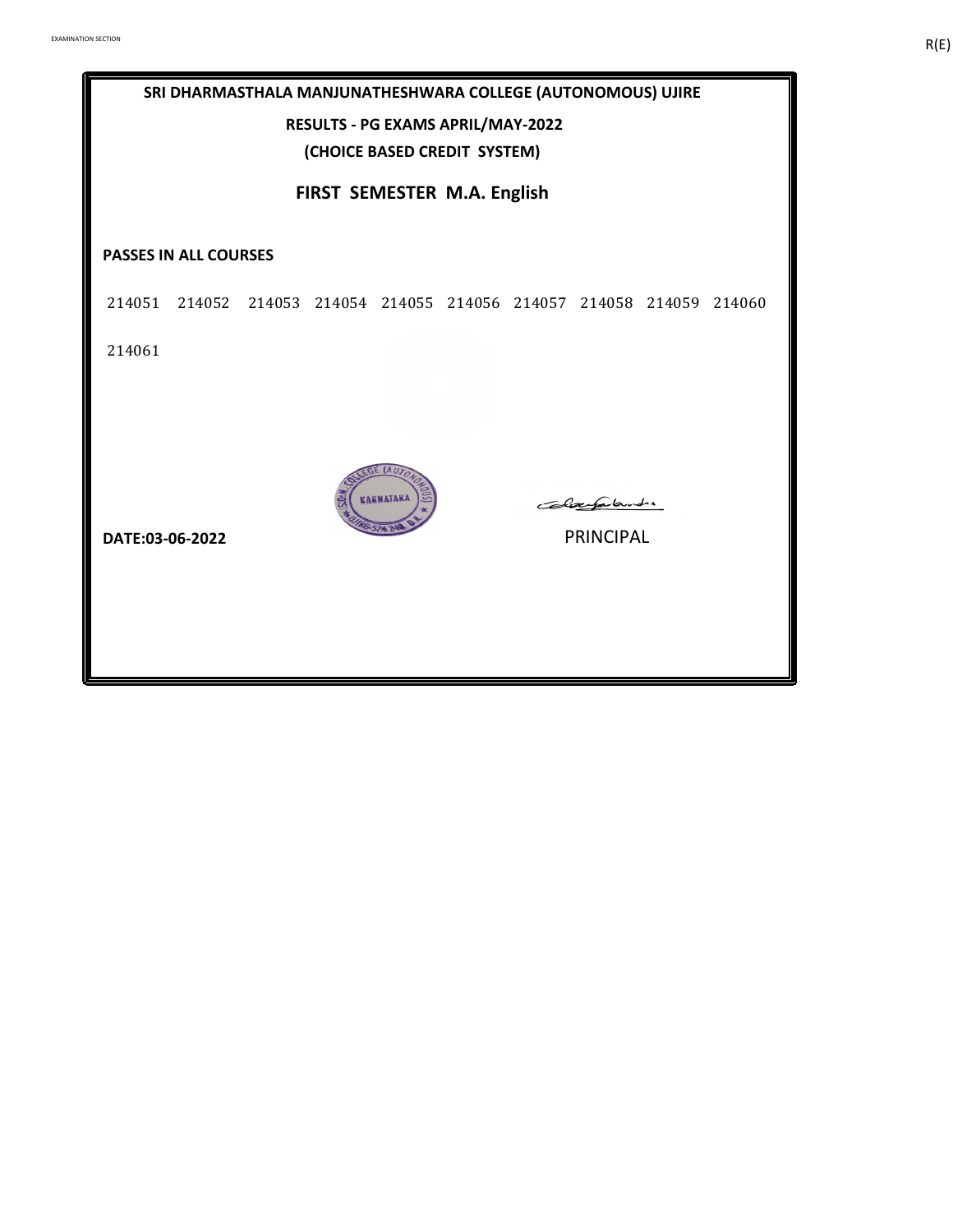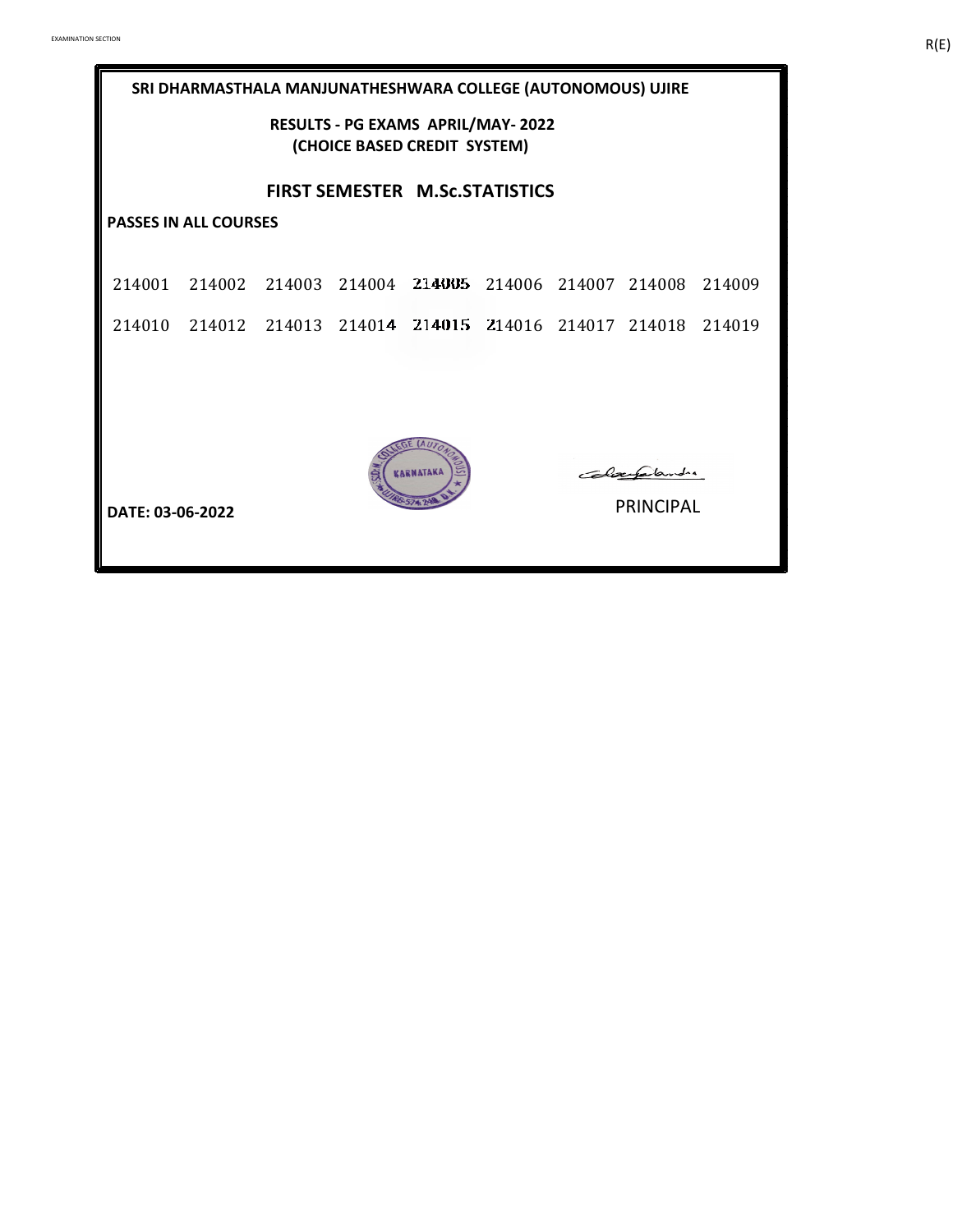| SRI DHARMASTHALA MANJUNATHESHWARA COLLEGE (AUTONOMOUS) UJIRE             |                                                                                                                                  |  |  |  |  |  |  |  |  |  |  |
|--------------------------------------------------------------------------|----------------------------------------------------------------------------------------------------------------------------------|--|--|--|--|--|--|--|--|--|--|
| <b>RESULTS - PG EXAMS APRIL/MAY-2022</b><br>(CHOICE BASED CREDIT SYSTEM) |                                                                                                                                  |  |  |  |  |  |  |  |  |  |  |
| <b>FIRST SEMESTER M.Sc.STATISTICS</b>                                    |                                                                                                                                  |  |  |  |  |  |  |  |  |  |  |
|                                                                          | <b>PASSES IN ALL COURSES</b>                                                                                                     |  |  |  |  |  |  |  |  |  |  |
|                                                                          | 214001 214002 214003 214004 214005 214006 214007 214008 214009<br>214010 214012 214013 214014 214015 214016 214017 214018 214019 |  |  |  |  |  |  |  |  |  |  |
| Clausalandre<br><b>PRINCIPAL</b><br>DATE: 03-06-2022                     |                                                                                                                                  |  |  |  |  |  |  |  |  |  |  |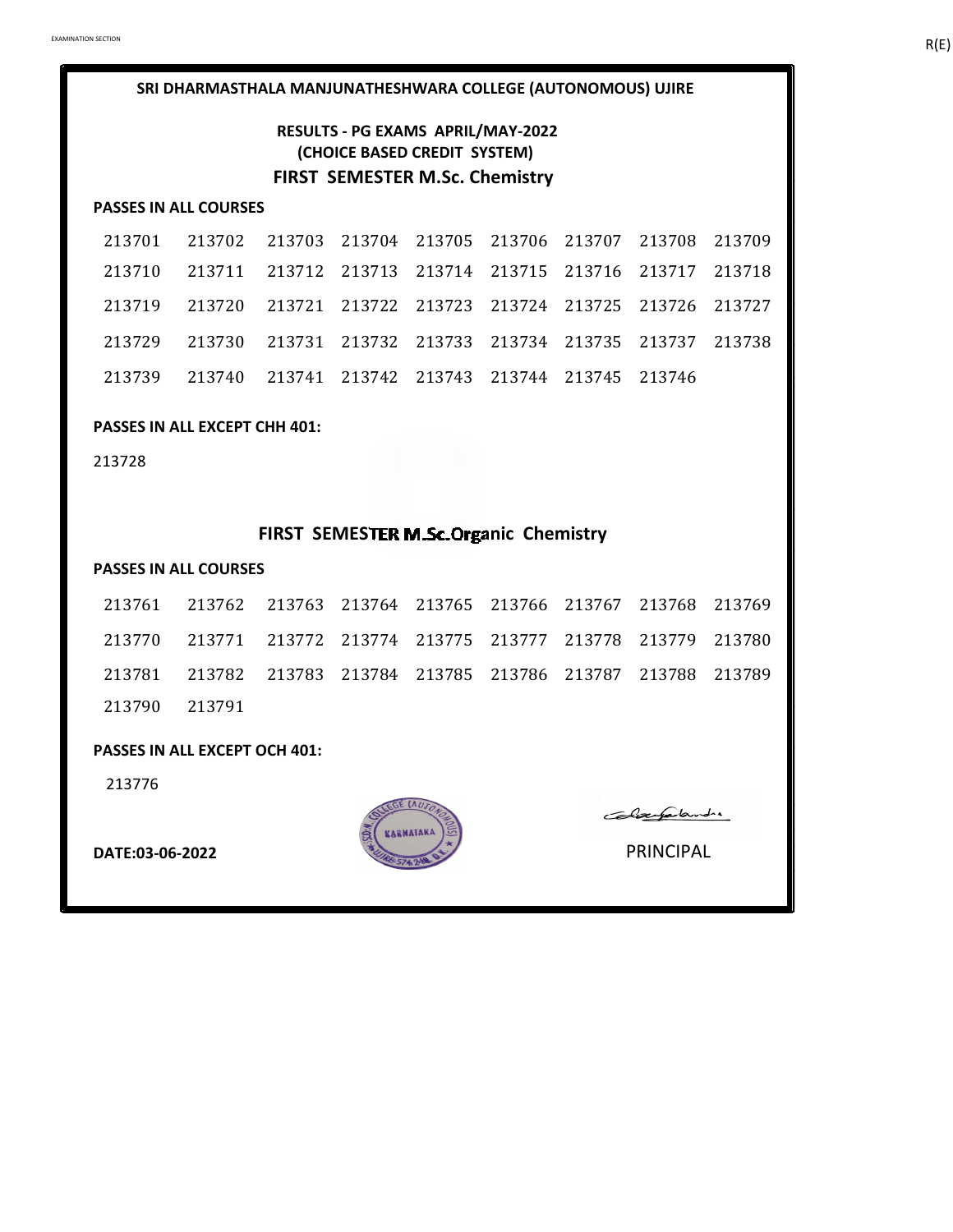# **RESULTS - PG EXAMS APRIL/MAY-2022 (CHOICE BASED CREDIT SYSTEM) FIRST SEMESTER M.Sc. Chemistry**

#### **PASSES IN ALL COURSES**

| 213701 213702 213703 213704 213705 213706 213707 213708 213709 |  |  |  |  |
|----------------------------------------------------------------|--|--|--|--|
| 213710 213711 213712 213713 213714 213715 213716 213717 213718 |  |  |  |  |
| 213719 213720 213721 213722 213723 213724 213725 213726 213727 |  |  |  |  |
| 213729 213730 213731 213732 213733 213734 213735 213737 213738 |  |  |  |  |
| 213739 213740 213741 213742 213743 213744 213745 213746        |  |  |  |  |

#### **PASSES IN ALL EXCEPT CHH 401:**

213728

# **FIRST SEMESTER M.Sc.Organic Chemistry**

#### **PASSES IN ALL COURSES**

|               | 213761 213762 213763 213764 213765 213766 213767 213768 213769 |  |  |  |  |
|---------------|----------------------------------------------------------------|--|--|--|--|
|               | 213770 213771 213772 213774 213775 213777 213778 213779 213780 |  |  |  |  |
|               | 213781 213782 213783 213784 213785 213786 213787 213788 213789 |  |  |  |  |
| 213790 213791 |                                                                |  |  |  |  |

#### **PASSES IN ALL EXCEPT OCH 401:**

213776



Colaerfalande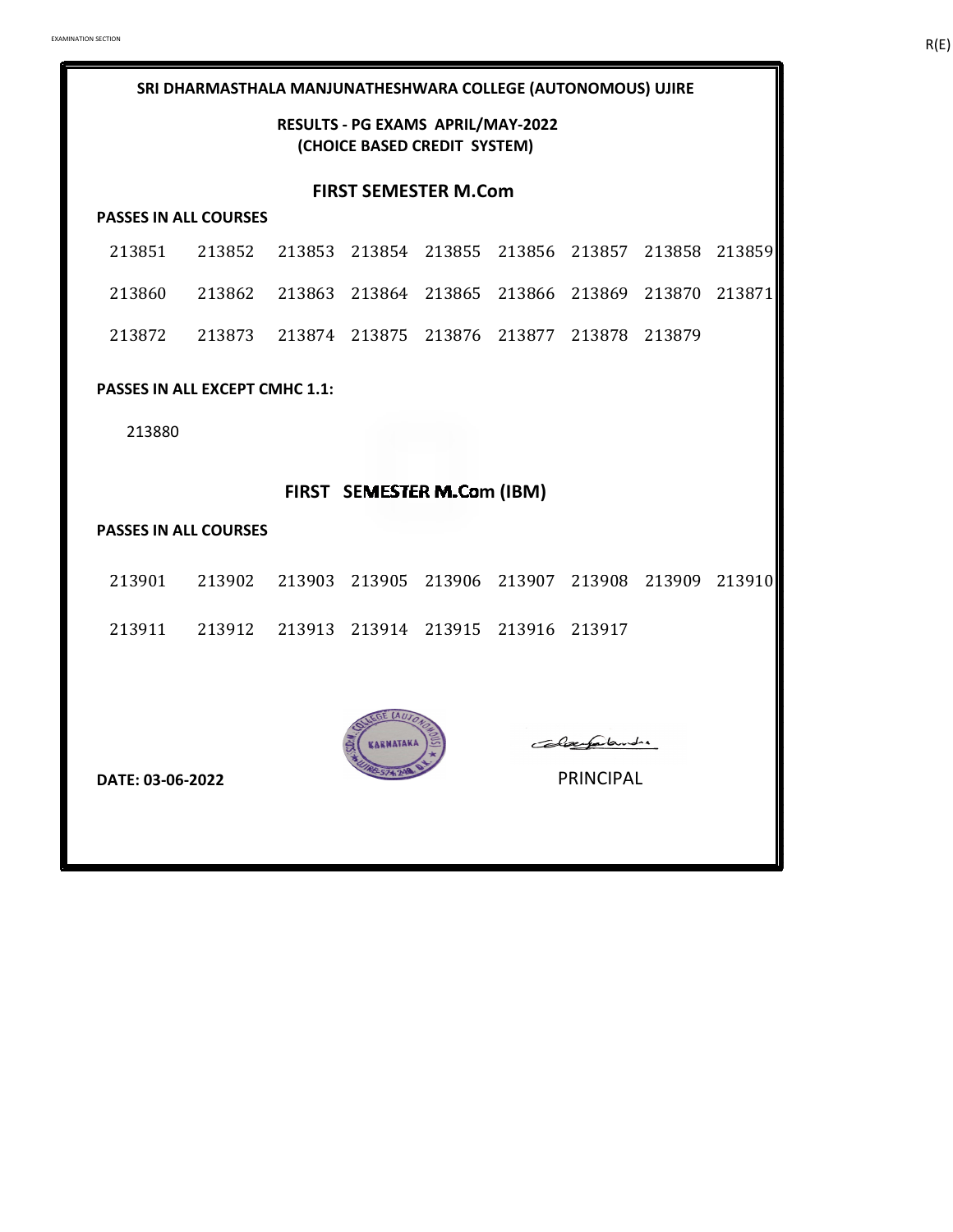### **RESULTS - PG EXAMS APRIL/MAY-2022 (CHOICE BASED CREDIT SYSTEM)**

#### **FIRST SEMESTER M.Com**

#### **PASSES IN ALL COURSES**

| 213851 213852 213853 213854 213855 213856 213857 213858 213859 |  |  |  |  |
|----------------------------------------------------------------|--|--|--|--|
| 213860 213862 213863 213864 213865 213866 213869 213870 213871 |  |  |  |  |
| 213872 213873 213874 213875 213876 213877 213878 213879        |  |  |  |  |

#### **PASSES IN ALL EXCEPT CMHC 1.1:**

213880

# **FIRST SEMESTER M.Com (IBM)**

#### **PASSES IN ALL COURSES**

| 213901 213902 213903 213905 213906 213907 213908 213909 213910 |  |  |  |  |
|----------------------------------------------------------------|--|--|--|--|
| 213911 213912 213913 213914 213915 213916 213917               |  |  |  |  |



**DATE: 03-06-2022** PRINCIPAL

Colaugalandre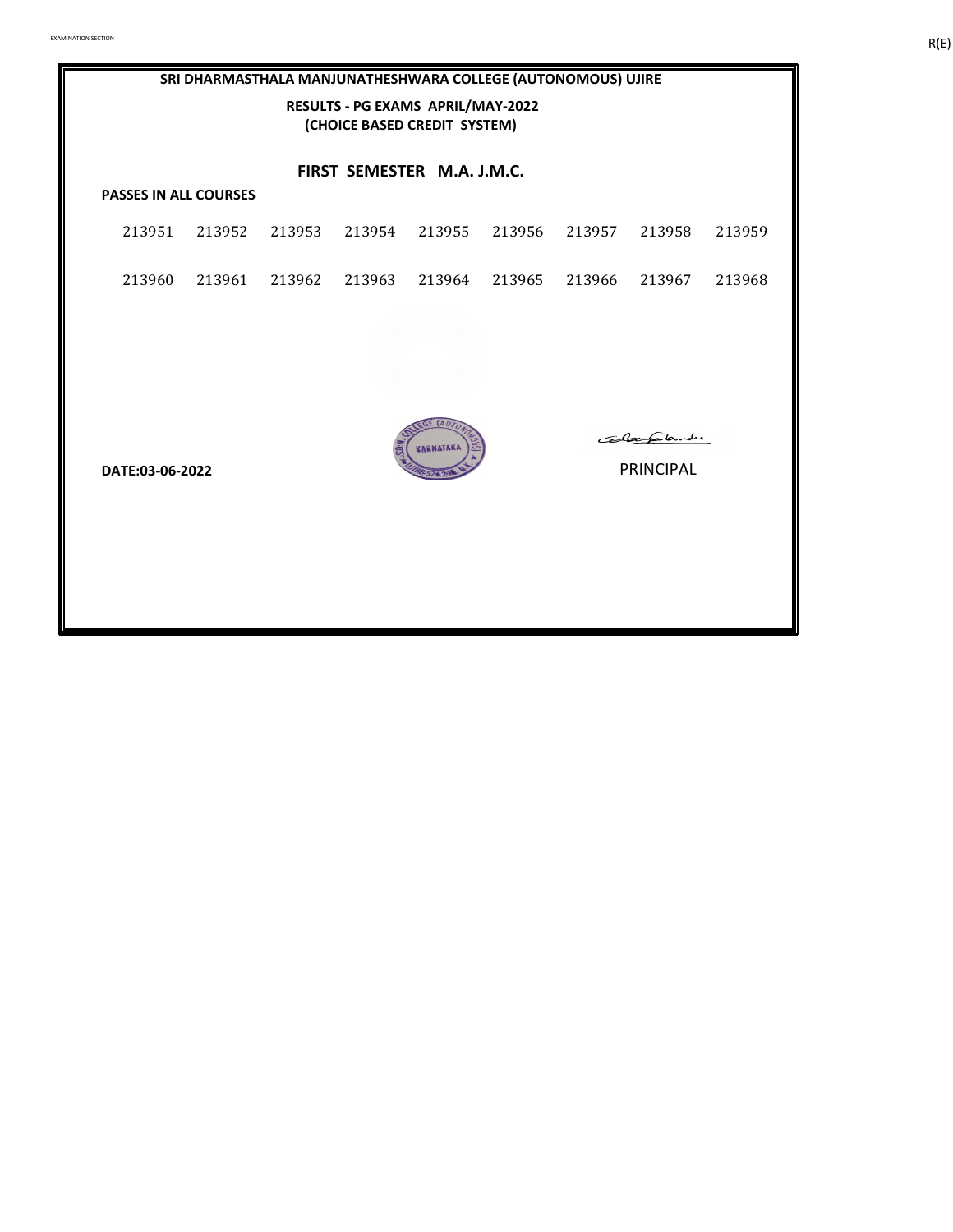# **PASSES IN ALL COURSES** 213951 213952 213953 213954 213955 213956 213957 213958 213959 213960 213961 213962 213963 213964 213965 213966 213967 213968 **SRI DHARMASTHALA MANJUNATHESHWARA COLLEGE (AUTONOMOUS) UJIRE RESULTS - PG EXAMS APRIL/MAY-2022 (CHOICE BASED CREDIT SYSTEM) FIRST SEMESTER M.A. J.M.C.**



Colaegalande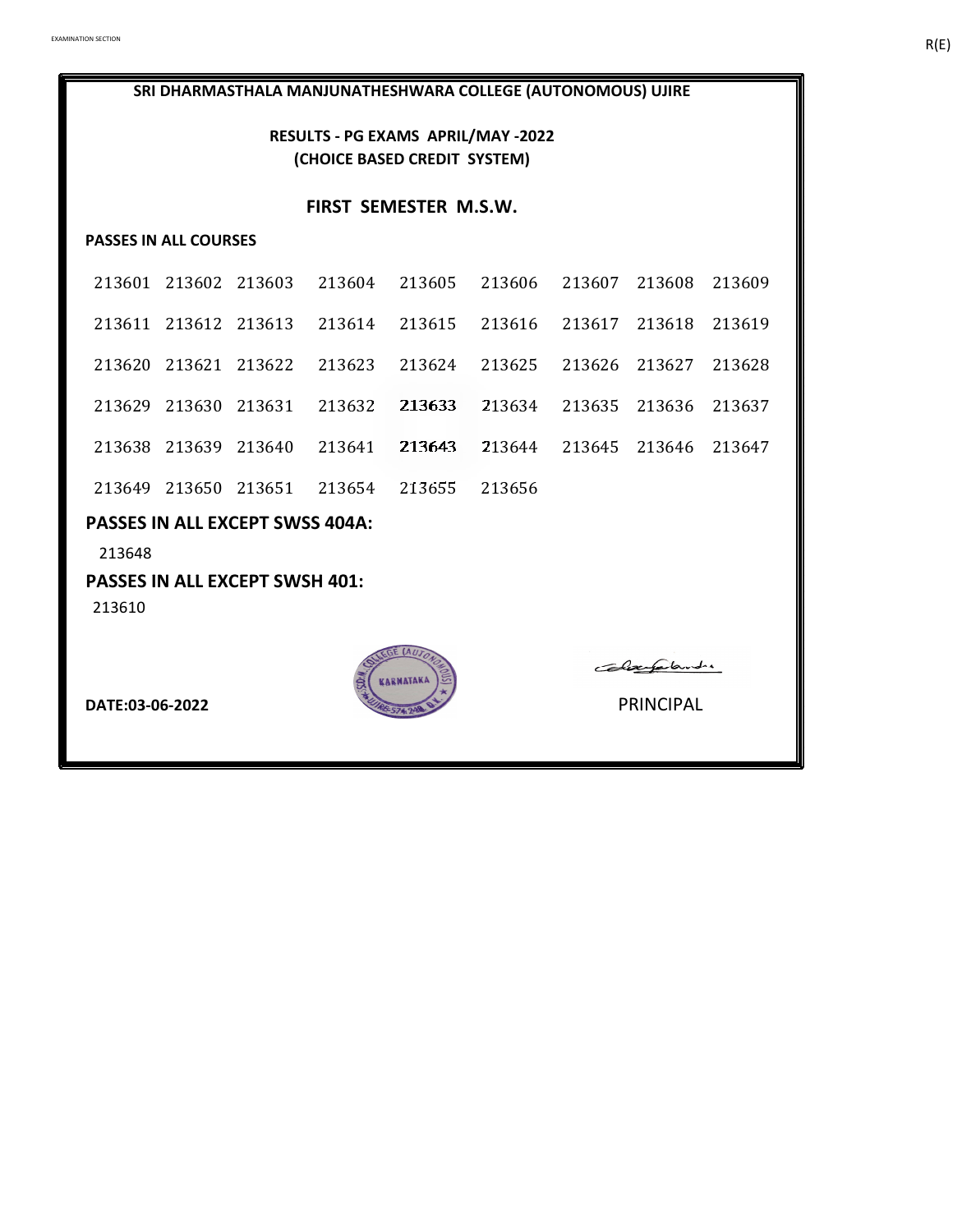**RESULTS - PG EXAMS APRIL/MAY -2022 (CHOICE BASED CREDIT SYSTEM)**

#### **FIRST SEMESTER M.S.W.**

# **PASSES IN ALL COURSES**

| 213601 213602 213603 213604 213605 213606 213607 213608 213609 |  |  |                             |        |
|----------------------------------------------------------------|--|--|-----------------------------|--------|
| 213611 213612 213613 213614 213615 213616 213617 213618 213619 |  |  |                             |        |
| 213620 213621 213622 213623 213624 213625 213626 213627        |  |  |                             | 213628 |
| 213629 213630 213631 213632 213633                             |  |  | 213634 213635 213636 213637 |        |
| 213638 213639 213640 213641 213643                             |  |  | 213644 213645 213646 213647 |        |
| 213649 213650 213651 213654 213655 213656                      |  |  |                             |        |

# **PASSES IN ALL EXCEPT SWSS 404A:**

213648

### **PASSES IN ALL EXCEPT SWSH 401:**

213610



Colayalandre